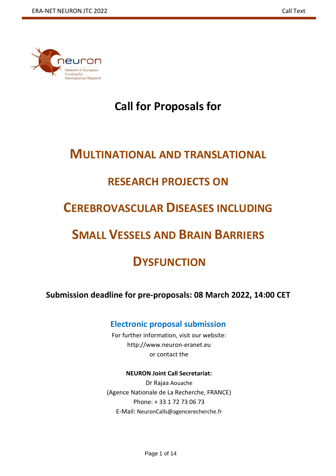

# **Call for Proposals for**

# **MULTINATIONAL AND TRANSLATIONAL**

# **RESEARCH PROJECTS ON**

# **CEREBROVASCULAR DISEASES INCLUDING**

# **SMALL VESSELS AND BRAIN BARRIERS**

# **DYSFUNCTION**

**Submission deadline for pre-proposals: 08 March 2022, 14:00 CET** 

## **Electronic proposal submission**

For further information, visit our website: [http://www.neuron-eranet.eu](http://www.neuron-eranet.eu/) or contact the

### **NEURON Joint Call Secretariat:**

Dr Rajaa Aouache (Agence Nationale de La Recherche, FRANCE) Phone: + 33 1 72 73 06 73 E-Mail: NeuronCalls@agencerecherche.fr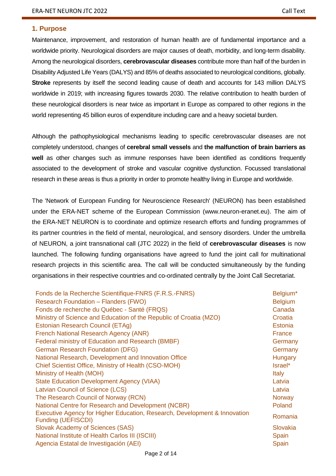#### **1. Purpose**

Maintenance, improvement, and restoration of human health are of fundamental importance and a worldwide priority. Neurological disorders are major causes of death, morbidity, and long-term disability. Among the neurological disorders, **cerebrovascular diseases** contribute more than half of the burden in Disability Adjusted Life Years (DALYS) and 85% of deaths associated to neurological conditions, globally. **Stroke** represents by itself the second leading cause of death and accounts for 143 million DALYS worldwide in 2019; with increasing figures towards 2030. The relative contribution to health burden of these neurological disorders is near twice as important in Europe as compared to other regions in the world representing 45 billion euros of expenditure including care and a heavy societal burden.

Although the pathophysiological mechanisms leading to specific cerebrovascular diseases are not completely understood, changes of **cerebral small vessels** and **the malfunction of brain barriers as well** as other changes such as immune responses have been identified as conditions frequently associated to the development of stroke and vascular cognitive dysfunction. Focussed translational research in these areas is thus a priority in order to promote healthy living in Europe and worldwide.

The 'Network of European Funding for Neuroscience Research' (NEURON) has been established under the ERA-NET scheme of the European Commission [\(www.neuron-eranet.eu\)](http://www.neuron-eranet.eu/). The aim of the ERA-NET NEURON is to coordinate and optimize research efforts and funding programmes of its partner countries in the field of mental, neurological, and sensory disorders. Under the umbrella of NEURON, a joint transnational call (JTC 2022) in the field of **cerebrovascular diseases** is now launched. The following funding organisations have agreed to fund the joint call for multinational research projects in this scientific area. The call will be conducted simultaneously by the funding organisations in their respective countries and co-ordinated centrally by the Joint Call Secretariat.

| Fonds de la Recherche Scientifique-FNRS (F.R.S.-FNRS)                                                                                      | Belgium*            |
|--------------------------------------------------------------------------------------------------------------------------------------------|---------------------|
| Research Foundation - Flanders (FWO)                                                                                                       | <b>Belgium</b>      |
| Fonds de recherche du Québec - Santé (FRQS)                                                                                                | Canada              |
| Ministry of Science and Education of the Republic of Croatia (MZO)                                                                         | Croatia             |
| Estonian Research Council (ETAg)                                                                                                           | <b>Estonia</b>      |
| French National Research Agency (ANR)                                                                                                      | France              |
| Federal ministry of Education and Research (BMBF)                                                                                          | Germany             |
| <b>German Research Foundation (DFG)</b>                                                                                                    | Germany             |
| National Research, Development and Innovation Office                                                                                       | <b>Hungary</b>      |
| Chief Scientist Office, Ministry of Health (CSO-MOH)                                                                                       | Israel*             |
| Ministry of Health (MOH)                                                                                                                   | <b>Italy</b>        |
| <b>State Education Development Agency (VIAA)</b>                                                                                           | Latvia              |
| <b>Latvian Council of Science (LCS)</b>                                                                                                    | Latvia              |
| The Research Council of Norway (RCN)                                                                                                       | Norway              |
| National Centre for Research and Development (NCBR)                                                                                        | Poland              |
| Executive Agency for Higher Education, Research, Development & Innovation<br><b>Funding (UEFISCDI)</b><br>Slovak Academy of Sciences (SAS) | Romania<br>Slovakia |
| National Institute of Health Carlos III (ISCIII)                                                                                           | Spain               |
| Agencia Estatal de Investigación (AEI)                                                                                                     | Spain               |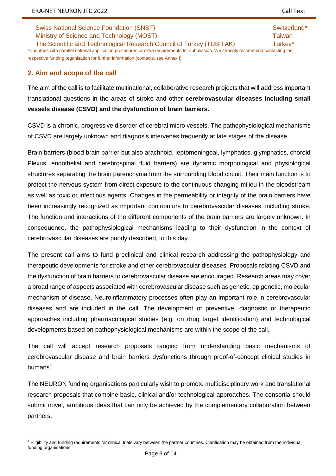The Scientific and Technological Research Council of Turkey (TUBITAK) Turkey\* \*Countries with parallel national application procedures or extra requirements for submission. We strongly recommend contacting the respective funding organisation for further information (contacts, see Annex I).

### **2. Aim and scope of the call**

The aim of the call is to facilitate multinational, collaborative research projects that will address important translational questions in the areas of stroke and other **cerebrovascular diseases including small vessels disease (CSVD) and the dysfunction of brain barriers.**

CSVD is a chronic, progressive disorder of cerebral micro vessels. The pathophysiological mechanisms of CSVD are largely unknown and diagnosis intervenes frequently at late stages of the disease.

Brain barriers (blood brain barrier but also arachnoid, leptomeningeal, lymphatics, glymphatics, choroid Plexus, endothelial and cerebrospinal fluid barriers) are dynamic morphological and physiological structures separating the brain parenchyma from the surrounding blood circuit. Their main function is to protect the nervous system from direct exposure to the continuous changing milieu in the bloodstream as well as toxic or infectious agents. Changes in the permeability or integrity of the brain barriers have been increasingly recognized as important contributors to cerebrovascular diseases, including stroke. The function and interactions of the different components of the brain barriers are largely unknown. In consequence, the pathophysiological mechanisms leading to their dysfunction in the context of cerebrovascular diseases are poorly described, to this day.

The present call aims to fund preclinical and clinical research addressing the pathophysiology and therapeutic developments for stroke and other cerebrovascular diseases. Proposals relating CSVD and the dysfunction of brain barriers to cerebrovascular disease are encouraged. Research areas may cover a broad range of aspects associated with cerebrovascular disease such as genetic, epigenetic, molecular mechanism of disease. Neuroinflammatory processes often play an important role in cerebrovascular diseases and are included in the call. The development of preventive, diagnostic or therapeutic approaches including pharmacological studies (e.g. on drug target identification) and technological developments based on pathophysiological mechanisms are within the scope of the call.

The call will accept research proposals ranging from understanding basic mechanisms of cerebrovascular disease and brain barriers dysfunctions through proof-of-concept clinical studies in humans $^1$ .

The NEURON funding organisations particularly wish to promote multidisciplinary work and translational research proposals that combine basic, clinical and/or technological approaches. The consortia should submit novel, ambitious ideas that can only be achieved by the complementary collaboration between partners.

 $\ddot{\phantom{a}}$ <sup>1</sup> Eligibility and funding requirements for clinical trials vary between the partner countries. Clarification may be obtained from the individual funding organisations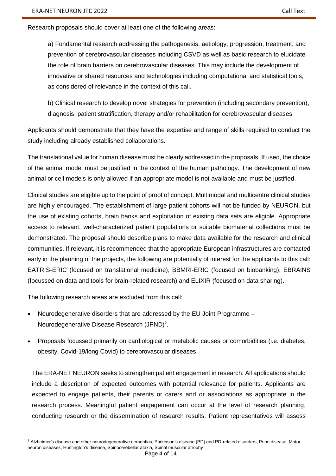Research proposals should cover at least one of the following areas:

a) Fundamental research addressing the pathogenesis, aetiology, progression, treatment, and prevention of cerebrovascular diseases including CSVD as well as basic research to elucidate the role of brain barriers on cerebrovascular diseases. This may include the development of innovative or shared resources and technologies including computational and statistical tools, as considered of relevance in the context of this call.

b) Clinical research to develop novel strategies for prevention (including secondary prevention), diagnosis, patient stratification, therapy and/or rehabilitation for cerebrovascular diseases

Applicants should demonstrate that they have the expertise and range of skills required to conduct the study including already established collaborations.

The translational value for human disease must be clearly addressed in the proposals. If used, the choice of the animal model must be justified in the context of the human pathology. The development of new animal or cell models is only allowed if an appropriate model is not available and must be justified.

Clinical studies are eligible up to the point of proof of concept. Multimodal and multicentre clinical studies are highly encouraged. The establishment of large patient cohorts will not be funded by NEURON, but the use of existing cohorts, brain banks and exploitation of existing data sets are eligible. Appropriate access to relevant, well-characterized patient populations or suitable biomaterial collections must be demonstrated. The proposal should describe plans to make data available for the research and clinical communities. If relevant, it is recommended that the appropriate European infrastructures are contacted early in the planning of the projects, the following are potentially of interest for the applicants to this call: EATRIS-ERIC (focused on translational medicine), BBMRI-ERIC (focused on biobanking), EBRAINS (focussed on data and tools for brain-related research) and ELIXIR (focused on data sharing).

The following research areas are excluded from this call:

 $\ddot{\phantom{a}}$ 

- Neurodegenerative disorders that are addressed by the EU Joint Programme Neurodegenerative Disease Research (JPND)<sup>2</sup>.
- Proposals focussed primarily on cardiological or metabolic causes or comorbidities (i.e. diabetes, obesity, Covid-19/long Covid) to cerebrovascular diseases.

The ERA-NET NEURON seeks to strengthen patient engagement in research. All applications should include a description of expected outcomes with potential relevance for patients. Applicants are expected to engage patients, their parents or carers and or associations as appropriate in the research process. Meaningful patient engagement can occur at the level of research planning, conducting research or the dissemination of research results. Patient representatives will assess

<sup>&</sup>lt;sup>2</sup> Alzheimer's disease and other neurodegenerative dementias, Parkinson's disease (PD) and PD-related disorders, Prion disease, Motor neuron diseases, Huntington's disease, Spinocerebellar ataxia, Spinal muscular atrophy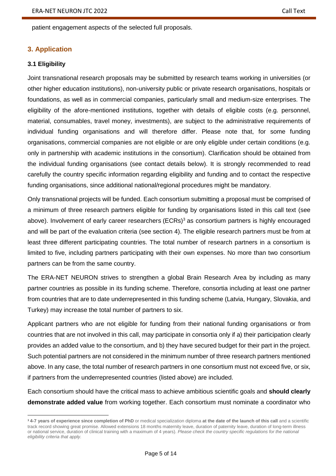patient engagement aspects of the selected full proposals.

#### **3. Application**

#### **3.1 Eligibility**

 $\ddot{\phantom{a}}$ 

Joint transnational research proposals may be submitted by research teams working in universities (or other higher education institutions), non-university public or private research organisations, hospitals or foundations, as well as in commercial companies, particularly small and medium-size enterprises. The eligibility of the afore-mentioned institutions, together with details of eligible costs (e.g. personnel, material, consumables, travel money, investments), are subject to the administrative requirements of individual funding organisations and will therefore differ. Please note that, for some funding organisations, commercial companies are not eligible or are only eligible under certain conditions (e.g. only in partnership with academic institutions in the consortium). Clarification should be obtained from the individual funding organisations (see contact details below). It is strongly recommended to read carefully the country specific information regarding eligibility and funding and to contact the respective funding organisations, since additional national/regional procedures might be mandatory.

Only transnational projects will be funded. Each consortium submitting a proposal must be comprised of a minimum of three research partners eligible for funding by organisations listed in this call text (see above). Involvement of early career researchers (ECRs)<sup>3</sup> as consortium partners is highly encouraged and will be part of the evaluation criteria (see section 4). The eligible research partners must be from at least three different participating countries. The total number of research partners in a consortium is limited to five, including partners participating with their own expenses. No more than two consortium partners can be from the same country.

The ERA-NET NEURON strives to strengthen a global Brain Research Area by including as many partner countries as possible in its funding scheme. Therefore, consortia including at least one partner from countries that are to date underrepresented in this funding scheme (Latvia, Hungary, Slovakia, and Turkey) may increase the total number of partners to six.

Applicant partners who are not eligible for funding from their national funding organisations or from countries that are not involved in this call, may participate in consortia only if a) their participation clearly provides an added value to the consortium, and b) they have secured budget for their part in the project. Such potential partners are not considered in the minimum number of three research partners mentioned above. In any case, the total number of research partners in one consortium must not exceed five, or six, if partners from the underrepresented countries (listed above) are included.

Each consortium should have the critical mass to achieve ambitious scientific goals and **should clearly demonstrate added value** from working together. Each consortium must nominate a coordinator who

<sup>&</sup>lt;sup>3</sup> 4-7 years of experience since completion of PhD or medical specialization diploma at the date of the launch of this call and a scientific track record showing great promise. Allowed extensions 18 months maternity leave, duration of paternity leave, duration of long-term illness or national service, duration of clinical training with a maximum of 4 years). *Please check the country specific regulations for the national eligibility criteria that apply.*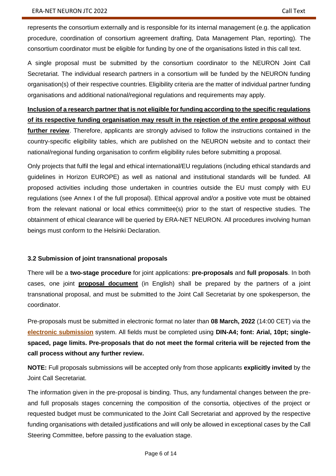represents the consortium externally and is responsible for its internal management (e.g. the application procedure, coordination of consortium agreement drafting, Data Management Plan, reporting). The consortium coordinator must be eligible for funding by one of the organisations listed in this call text.

A single proposal must be submitted by the consortium coordinator to the NEURON Joint Call Secretariat. The individual research partners in a consortium will be funded by the NEURON funding organisation(s) of their respective countries. Eligibility criteria are the matter of individual partner funding organisations and additional national/regional regulations and requirements may apply.

**Inclusion of a research partner that is not eligible for funding according to the specific regulations of its respective funding organisation may result in the rejection of the entire proposal without further review**. Therefore, applicants are strongly advised to follow the instructions contained in the country-specific eligibility tables, which are published on the NEURON website and to contact their national/regional funding organisation to confirm eligibility rules before submitting a proposal.

Only projects that fulfil the legal and ethical international/EU regulations (including ethical standards and guidelines in Horizon EUROPE) as well as national and institutional standards will be funded. All proposed activities including those undertaken in countries outside the EU must comply with EU regulations (see Annex I of the full proposal). Ethical approval and/or a positive vote must be obtained from the relevant national or local ethics committee(s) prior to the start of respective studies. The obtainment of ethical clearance will be queried by ERA-NET NEURON. All procedures involving human beings must conform to the Helsinki Declaration.

#### **3.2 Submission of joint transnational proposals**

There will be a **two-stage procedure** for joint applications: **pre-proposals** and **full proposals**. In both cases, one joint **[proposal document](http://www.neuron-eranet.eu/en/516.php)** (in English) shall be prepared by the partners of a joint transnational proposal, and must be submitted to the Joint Call Secretariat by one spokesperson, the coordinator.

Pre-proposals must be submitted in electronic format no later than **08 March, 2022** (14:00 CET) via the **[electronic submission](https://ptoutline.eu/app/neuron_cv)** system. All fields must be completed using **DIN-A4; font: Arial, 10pt; singlespaced, page limits. Pre-proposals that do not meet the formal criteria will be rejected from the call process without any further review.** 

**NOTE:** Full proposals submissions will be accepted only from those applicants **explicitly invited** by the Joint Call Secretariat.

The information given in the pre-proposal is binding. Thus, any fundamental changes between the preand full proposals stages concerning the composition of the consortia, objectives of the project or requested budget must be communicated to the Joint Call Secretariat and approved by the respective funding organisations with detailed justifications and will only be allowed in exceptional cases by the Call Steering Committee, before passing to the evaluation stage.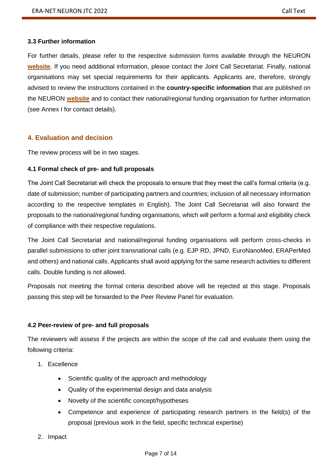#### **3.3 Further information**

For further details, please refer to the respective submission forms available through the NEURON **[website](https://www.neuron-eranet.eu/joint-calls/bio-medical/2022-cerebrovascular-diseases/)**. If you need additional information, please contact the Joint Call Secretariat. Finally, national organisations may set special requirements for their applicants. Applicants are, therefore, strongly advised to review the instructions contained in the **country-specific information** that are published on the NEURON **[website](https://www.neuron-eranet.eu/joint-calls/bio-medical/2022-cerebrovascular-diseases/)** and to contact their national/regional funding organisation for further information (see Annex I for contact details).

#### **4. Evaluation and decision**

The review process will be in two stages.

#### **4.1 Formal check of pre- and full proposals**

The Joint Call Secretariat will check the proposals to ensure that they meet the call's formal criteria (e.g. date of submission; number of participating partners and countries; inclusion of all necessary information according to the respective templates in English). The Joint Call Secretariat will also forward the proposals to the national/regional funding organisations, which will perform a formal and eligibility check of compliance with their respective regulations.

The Joint Call Secretariat and national/regional funding organisations will perform cross-checks in parallel submissions to other joint transnational calls (e.g. EJP RD, JPND, EuroNanoMed, ERAPerMed and others) and national calls. Applicants shall avoid applying for the same research activities to different calls. Double funding is not allowed.

Proposals not meeting the formal criteria described above will be rejected at this stage. Proposals passing this step will be forwarded to the Peer Review Panel for evaluation.

#### **4.2 Peer-review of pre- and full proposals**

The reviewers will assess if the projects are within the scope of the call and evaluate them using the following criteria:

- 1. Excellence
	- Scientific quality of the approach and methodology
	- Quality of the experimental design and data analysis
	- Novelty of the scientific concept/hypotheses
	- Competence and experience of participating research partners in the field(s) of the proposal (previous work in the field, specific technical expertise)
- 2. Impact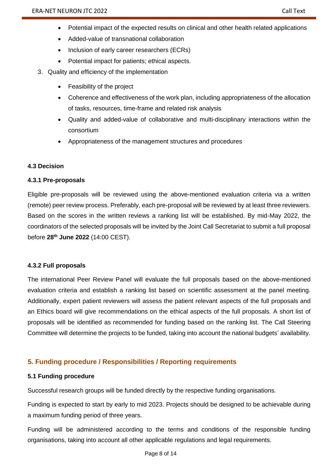- Potential impact of the expected results on clinical and other health related applications
- Added-value of transnational collaboration
- Inclusion of early career researchers (ECRs)
- Potential impact for patients; ethical aspects.
- 3. Quality and efficiency of the implementation
	- Feasibility of the project
	- Coherence and effectiveness of the work plan, including appropriateness of the allocation of tasks, resources, time-frame and related risk analysis
	- Quality and added-value of collaborative and multi-disciplinary interactions within the consortium
	- Appropriateness of the management structures and procedures

#### **4.3 Decision**

#### **4.3.1 Pre-proposals**

Eligible pre-proposals will be reviewed using the above-mentioned evaluation criteria via a written (remote) peer review process. Preferably, each pre-proposal will be reviewed by at least three reviewers. Based on the scores in the written reviews a ranking list will be established. By mid-May 2022, the coordinators of the selected proposals will be invited by the Joint Call Secretariat to submit a full proposal before **28th June 2022** (14:00 CEST).

#### **4.3.2 Full proposals**

The international Peer Review Panel will evaluate the full proposals based on the above-mentioned evaluation criteria and establish a ranking list based on scientific assessment at the panel meeting. Additionally, expert patient reviewers will assess the patient relevant aspects of the full proposals and an Ethics board will give recommendations on the ethical aspects of the full proposals. A short list of proposals will be identified as recommended for funding based on the ranking list. The Call Steering Committee will determine the projects to be funded, taking into account the national budgets' availability.

### **5. Funding procedure / Responsibilities / Reporting requirements**

#### **5.1 Funding procedure**

Successful research groups will be funded directly by the respective funding organisations.

Funding is expected to start by early to mid 2023. Projects should be designed to be achievable during a maximum funding period of three years.

Funding will be administered according to the terms and conditions of the responsible funding organisations, taking into account all other applicable regulations and legal requirements.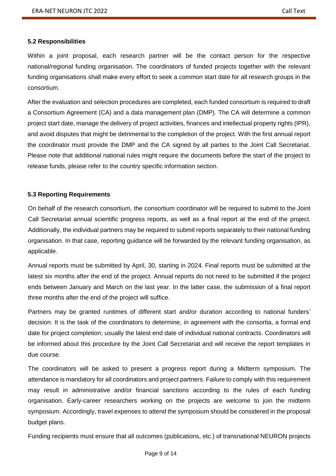#### **5.2 Responsibilities**

Within a joint proposal, each research partner will be the contact person for the respective national/regional funding organisation. The coordinators of funded projects together with the relevant funding organisations shall make every effort to seek a common start date for all research groups in the consortium.

After the evaluation and selection procedures are completed, each funded consortium is required to draft a Consortium Agreement (CA) and a data management plan (DMP). The CA will determine a common project start date, manage the delivery of project activities, finances and intellectual property rights (IPR), and avoid disputes that might be detrimental to the completion of the project. With the first annual report the coordinator must provide the DMP and the CA signed by all parties to the Joint Call Secretariat. Please note that additional national rules might require the documents before the start of the project to release funds, please refer to the country specific information section.

#### **5.3 Reporting Requirements**

On behalf of the research consortium, the consortium coordinator will be required to submit to the Joint Call Secretariat annual scientific progress reports, as well as a final report at the end of the project. Additionally, the individual partners may be required to submit reports separately to their national funding organisation. In that case, reporting guidance will be forwarded by the relevant funding organisation, as applicable.

Annual reports must be submitted by April, 30, starting in 2024. Final reports must be submitted at the latest six months after the end of the project. Annual reports do not need to be submitted if the project ends between January and March on the last year. In the latter case, the submission of a final report three months after the end of the project will suffice.

Partners may be granted runtimes of different start and/or duration according to national funders' decision. It is the task of the coordinators to determine, in agreement with the consortia, a formal end date for project completion; usually the latest end date of individual national contracts. Coordinators will be informed about this procedure by the Joint Call Secretariat and will receive the report templates in due course.

The coordinators will be asked to present a progress report during a Midterm symposium. The attendance is mandatory for all coordinators and project partners. Failure to comply with this requirement may result in administrative and/or financial sanctions according to the rules of each funding organisation. Early-career researchers working on the projects are welcome to join the midterm symposium. Accordingly, travel expenses to attend the symposium should be considered in the proposal budget plans.

Funding recipients must ensure that all outcomes (publications, etc.) of transnational NEURON projects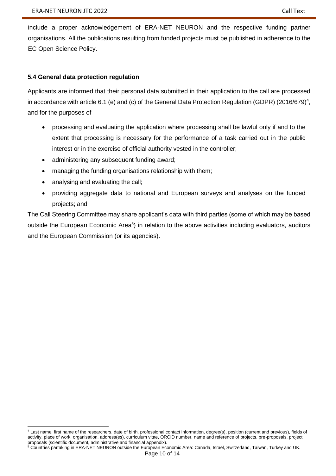include a proper acknowledgement of ERA-NET NEURON and the respective funding partner organisations. All the publications resulting from funded projects must be published in adherence to the [EC Open Science Policy.](https://ec.europa.eu/research/openscience/index.cfm?pg=openaccess)

### **5.4 General data protection regulation**

Applicants are informed that their personal data submitted in their application to the call are processed in accordance with article 6.1 (e) and (c) of the General Data Protection Regulation (GDPR) (2016/679)<sup>4</sup>, and for the purposes of

- processing and evaluating the application where processing shall be lawful only if and to the extent that processing is necessary for the performance of a task carried out in the public interest or in the exercise of official authority vested in the controller;
- administering any subsequent funding award;
- managing the funding organisations relationship with them;
- analysing and evaluating the call;
- providing aggregate data to national and European surveys and analyses on the funded projects; and

The Call Steering Committee may share applicant's data with third parties (some of which may be based outside the European Economic Area<sup>5</sup>) in relation to the above activities including evaluators, auditors and the European Commission (or its agencies).

 $\overline{a}$ <sup>4</sup> Last name, first name of the researchers, date of birth, professional contact information, degree(s), position (current and previous), fields of activity, place of work, organisation, address(es), curriculum vitae, ORCID number, name and reference of projects, pre-proposals, project proposals (scientific document, administrative and financial appendix).

<sup>&</sup>lt;sup>5</sup> Countries partaking in ERA-NET NEURON outside the European Economic Area: Canada, Israel, Switzerland, Taiwan, Turkey and UK.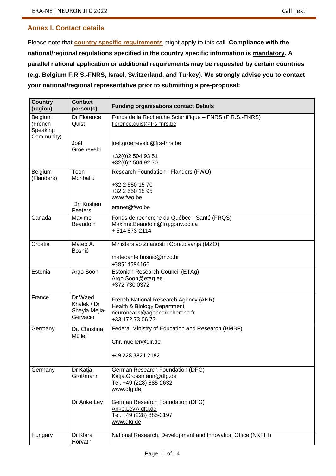## **Annex I. Contact details**

Please note that **[country specific requirements](https://www.neuron-eranet.eu/wp-content/uploads/NEURON_JTC2022_All_national_regulations.pdf)** might apply to this call. **Compliance with the national/regional regulations specified in the country specific information is mandatory. A parallel national application or additional requirements may be requested by certain countries (e.g. Belgium F.R.S.-FNRS, Israel, Switzerland, and Turkey)**. **We strongly advise you to contact your national/regional representative prior to submitting a pre-proposal:** 

| <b>Country</b><br>(region)                   | <b>Contact</b><br>person(s)                         | <b>Funding organisations contact Details</b>                                                                               |
|----------------------------------------------|-----------------------------------------------------|----------------------------------------------------------------------------------------------------------------------------|
| Belgium<br>(French<br>Speaking<br>Community) | Dr Florence<br>Quist                                | Fonds de la Recherche Scientifique - FNRS (F.R.S.-FNRS)<br>florence.quist@frs-fnrs.be                                      |
|                                              | Joël<br>Groeneveld                                  | joel.groeneveld@frs-fnrs.be<br>+32(0)2 504 93 51                                                                           |
|                                              |                                                     | +32(0)2 504 92 70                                                                                                          |
| Belgium<br>(Flanders)                        | Toon<br>Monbaliu                                    | Research Foundation - Flanders (FWO)<br>+32 2 550 15 70<br>+32 2 550 15 95<br>www.fwo.be                                   |
|                                              | Dr. Kristien<br>Peeters                             | eranet@fwo.be                                                                                                              |
| Canada                                       | Maxime<br>Beaudoin                                  | Fonds de recherche du Québec - Santé (FRQS)<br>Maxime.Beaudoin@frq.gouv.qc.ca<br>+514873-2114                              |
| Croatia                                      | Mateo A.<br>Bosnić                                  | Ministarstvo Znanosti i Obrazovanja (MZO)<br>mateoante.bosnic@mzo.hr<br>+38514594166                                       |
| Estonia                                      | Argo Soon                                           | Estonian Research Council (ETAg)<br>Argo.Soon@etag.ee<br>+372 730 0372                                                     |
| France                                       | Dr.Waed<br>Khalek / Dr<br>Sheyla Mejia-<br>Gervacio | French National Research Agency (ANR)<br>Health & Biology Department<br>neuroncalls@agencerecherche.fr<br>+33 172 73 06 73 |
| Germany                                      | Dr. Christina<br>Müller                             | Federal Ministry of Education and Research (BMBF)<br>Chr.mueller@dlr.de<br>+49 228 3821 2182                               |
| Germany                                      | Dr Katja<br>Großmann                                | German Research Foundation (DFG)<br>Katja.Grossmann@dfg.de<br>Tel. +49 (228) 885-2632<br>www.dfg.de                        |
|                                              | Dr Anke Ley                                         | German Research Foundation (DFG)<br>Anke.Ley@dfg.de<br>Tel. +49 (228) 885-3197<br>www.dfg.de                               |
| Hungary                                      | Dr Klara<br>Horvath                                 | National Research, Development and Innovation Office (NKFIH)                                                               |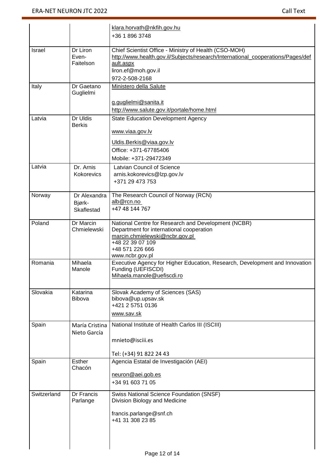|             |                         | klara.horvath@nkfih.gov.hu                                                       |
|-------------|-------------------------|----------------------------------------------------------------------------------|
|             |                         | +36 1 896 3748                                                                   |
|             |                         |                                                                                  |
| Israel      | Dr Liron                | Chief Scientist Office - Ministry of Health (CSO-MOH)                            |
|             | Even-<br>Faitelson      | http://www.health.gov.il/Subjects/research/International_cooperations/Pages/def  |
|             |                         | ault.aspx<br>liron.ef@moh.gov.il                                                 |
|             |                         | 972-2-508-2168                                                                   |
| Italy       | Dr Gaetano              | Ministero della Salute                                                           |
|             | Guglielmi               |                                                                                  |
|             |                         | g.guglielmi@sanita.it                                                            |
|             |                         | http://www.salute.gov.it/portale/home.html                                       |
| Latvia      | Dr Uldis                | <b>State Education Development Agency</b>                                        |
|             | <b>Berkis</b>           |                                                                                  |
|             |                         | www.viaa.gov.lv                                                                  |
|             |                         | Uldis.Berkis@viaa.gov.lv                                                         |
|             |                         | Office: +371-67785406                                                            |
|             |                         | Mobile: +371-29472349                                                            |
| Latvia      | Dr. Arnis               | Latvian Council of Science                                                       |
|             | Kokorevics              | arnis.kokorevics@lzp.gov.lv                                                      |
|             |                         | +371 29 473 753                                                                  |
|             |                         |                                                                                  |
| Norway      | Dr Alexandra            | The Research Council of Norway (RCN)<br>alb@rcn.no                               |
|             | Bjørk-<br>Skaflestad    | +47 48 144 767                                                                   |
|             |                         |                                                                                  |
| Poland      | Dr Marcin               | National Centre for Research and Development (NCBR)                              |
|             | Chmielewski             | Department for international cooperation                                         |
|             |                         | marcin.chmielewski@ncbr.gov.pl<br>+48 22 39 07 109                               |
|             |                         | +48 571 226 666                                                                  |
|             |                         | www.ncbr.gov.pl                                                                  |
| Romania     | Mihaela                 | Executive Agency for Higher Education, Research, Development and Innovation      |
|             | Manole                  | Funding (UEFISCDI)<br>Mihaela.manole@uefiscdi.ro                                 |
|             |                         |                                                                                  |
| Slovakia    | Katarina                | Slovak Academy of Sciences (SAS)                                                 |
|             | <b>Bibova</b>           | bibova@up.upsav.sk                                                               |
|             |                         | +421 2 5751 0136                                                                 |
|             |                         | www.sav.sk                                                                       |
| Spain       | María Cristina          | National Institute of Health Carlos III (ISCIII)                                 |
|             | Nieto García            |                                                                                  |
|             |                         | mnieto@isciii.es                                                                 |
|             |                         |                                                                                  |
|             |                         | Tel: (+34) 91 822 24 43                                                          |
| Spain       | <b>Esther</b><br>Chacón | Agencia Estatal de Investigación (AEI)                                           |
|             |                         | neuron@aei.gob.es                                                                |
|             |                         | +34 91 603 71 05                                                                 |
|             |                         |                                                                                  |
| Switzerland | Dr Francis<br>Parlange  | <b>Swiss National Science Foundation (SNSF)</b><br>Division Biology and Medicine |
|             |                         |                                                                                  |
|             |                         | francis.parlange@snf.ch                                                          |
|             |                         | +41 31 308 23 85                                                                 |
|             |                         |                                                                                  |
|             |                         |                                                                                  |
|             |                         |                                                                                  |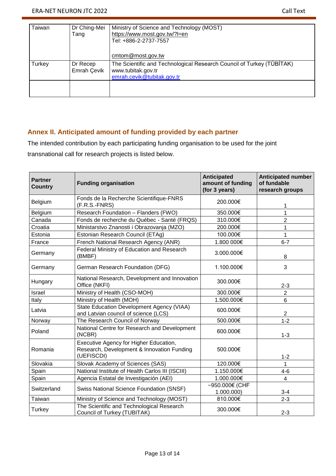| Taiwan | Dr Ching-Mei<br>Tang    | Ministry of Science and Technology (MOST)<br>https://www.most.gov.tw/?l=en<br>Tel: +886-2-2737-7557<br>cmtom@most.gov.tw  |
|--------|-------------------------|---------------------------------------------------------------------------------------------------------------------------|
| Turkey | Dr Recep<br>Emrah Çevik | The Scientific and Technological Research Council of Turkey (TÜBİTAK)<br>www.tubitak.gov.tr<br>emrah.cevik@tubitak.gov.tr |
|        |                         |                                                                                                                           |

### **Annex II. Anticipated amount of funding provided by each partner**

The intended contribution by each participating funding organisation to be used for the joint transnational call for research projects is listed below.

| <b>Partner</b><br><b>Country</b> | <b>Funding organisation</b>                                                                        | <b>Anticipated</b><br>amount of funding<br>(for 3 years) | <b>Anticipated number</b><br>of fundable<br>research groups |
|----------------------------------|----------------------------------------------------------------------------------------------------|----------------------------------------------------------|-------------------------------------------------------------|
| Belgium                          | Fonds de la Recherche Scientifique-FNRS<br>$(F.R.S.-FNRS)$                                         | 200.000€                                                 | 1                                                           |
| Belgium                          | Research Foundation - Flanders (FWO)                                                               | 350.000€                                                 | 1                                                           |
| Canada                           | Fonds de recherche du Québec - Santé (FRQS)                                                        | 310.000€                                                 | $\overline{2}$                                              |
| Croatia                          | Ministarstvo Znanosti i Obrazovanja (MZO)                                                          | 200.000€                                                 | 1                                                           |
| Estonia                          | Estonian Research Council (ETAg)                                                                   | 100.000€                                                 | 1                                                           |
| France                           | French National Research Agency (ANR)                                                              | 1.800 000€                                               | $6 - 7$                                                     |
| Germany                          | Federal Ministry of Education and Research<br>(BMBF)                                               | 3.000.000€                                               | 8                                                           |
| Germany                          | German Research Foundation (DFG)                                                                   | 1.100.000€                                               | 3                                                           |
| Hungary                          | National Research, Development and Innovation<br>Office (NKFI)                                     | 300.000€                                                 | $2 - 3$                                                     |
| Israel                           | Ministry of Health (CSO-MOH)                                                                       | 300.000€                                                 | $\overline{2}$                                              |
| Italy                            | Ministry of Health (MOH)                                                                           | 1.500.000€                                               | 6                                                           |
| Latvia                           | State Education Development Agency (VIAA)<br>and Latvian council of science (LCS)                  | 600.000€                                                 | $\overline{2}$                                              |
| Norway                           | The Research Council of Norway                                                                     | 500.000€                                                 | $1 - 2$                                                     |
| Poland                           | National Centre for Research and Development<br>(NCBR)                                             | 600.000€                                                 | $1 - 3$                                                     |
| Romania                          | Executive Agency for Higher Education,<br>Research, Development & Innovation Funding<br>(UEFISCDI) | 500.000€                                                 | $1 - 2$                                                     |
| Slovakia                         | Slovak Academy of Sciences (SAS)                                                                   | 120.000€                                                 | 1                                                           |
| Spain                            | National Institute of Health Carlos III (ISCIII)                                                   | 1.150.000€                                               | $4-6$                                                       |
| Spain                            | Agencia Estatal de Investigación (AEI)                                                             | 1.000.000€                                               | 4                                                           |
| Switzerland                      | <b>Swiss National Science Foundation (SNSF)</b>                                                    | ~950.000€ (CHF<br>1.000.000                              | $3 - 4$                                                     |
| Taiwan                           | Ministry of Science and Technology (MOST)                                                          | 810.000€                                                 | $2 - 3$                                                     |
| Turkey                           | The Scientific and Technological Research<br>Council of Turkey (TUBITAK)                           | 300.000€                                                 | $2 - 3$                                                     |